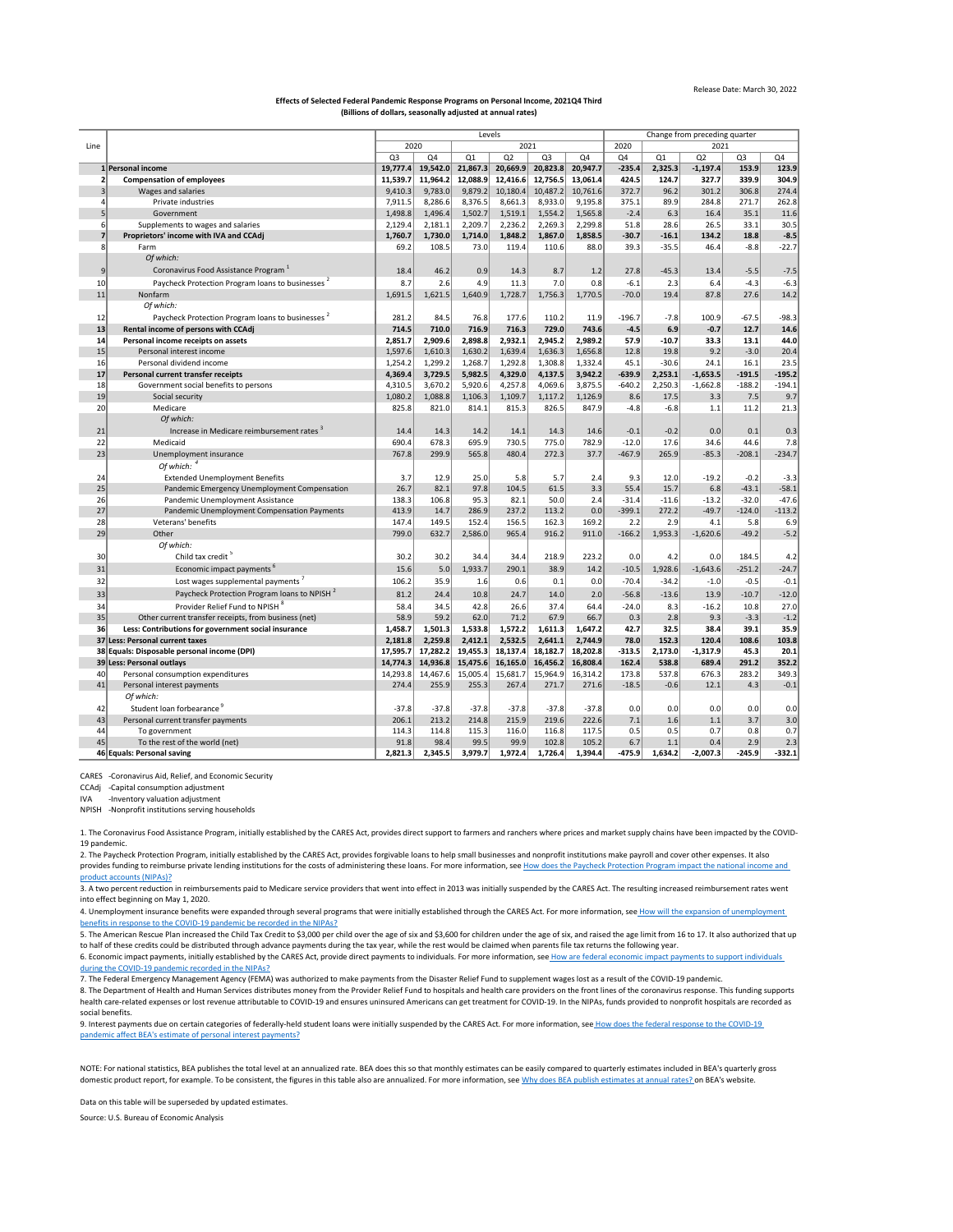|      |                                                              | Levels         |          |          |                |                |               |          | Change from preceding quarter |                 |                |                 |  |  |
|------|--------------------------------------------------------------|----------------|----------|----------|----------------|----------------|---------------|----------|-------------------------------|-----------------|----------------|-----------------|--|--|
| Line |                                                              | 2020<br>2021   |          |          |                |                | 2020<br>2021  |          |                               |                 |                |                 |  |  |
|      |                                                              | Q <sub>3</sub> | Q4       | Q1       | Q <sub>2</sub> | Q <sub>3</sub> | Q4            | Q4       | Q1                            | Q2              | Q <sub>3</sub> | Q4              |  |  |
|      | 1 Personal income                                            | 19,777.4       | 19,542.0 | 21,867.3 | 20,669.9       | 20,823.8       | 20,947.7      | $-235.4$ | 2,325.3                       | $-1,197.4$      | 153.9          | 123.9           |  |  |
|      | <b>Compensation of employees</b>                             | 11,539.7       | 11,964.2 | 12,088.9 | 12,416.6       | 12,756.5       | 13,061.4      | 424.5    | 124.7                         | 327.7           | 339.9          | 304.9           |  |  |
|      | Wages and salaries                                           | 9,410.3        | 9,783.0  | 9,879.2  | 10,180.4       | 10,487.2       | 10,761.6      | 372.7    | 96.2                          | 301.2           | 306.8          | 274.4           |  |  |
|      | Private industries                                           | 7,911.5        | 8,286.6  | 8,376.5  | 8,661.3        | 8,933.0        | 9,195.8       | 375.1    | 89.9                          | 284.8           | 271.7          | 262.8           |  |  |
|      | Government                                                   | 1,498.8        | 1,496.4  | 1,502.7  | 1,519.1        | 1,554.2        | 1,565.8       | $-2.4$   | 6.3                           | 16.4            | 35.1           | 11.6            |  |  |
|      | Supplements to wages and salaries                            | 2,129.4        | 2,181.1  | 2,209.7  | 2,236.2        | 2,269.3        | 2,299.8       | 51.8     | 28.6                          | 26.5            | 33.1           | 30.5            |  |  |
|      | Proprietors' income with IVA and CCAdj                       | 1,760.7        | 1,730.0  | 1,714.0  | 1,848.2        | 1,867.0        | 1,858.5       | $-30.7$  | $-16.1$                       | 134.2           | 18.8           | $-8.5$          |  |  |
|      | Farm                                                         | 69.2           | 108.5    | 73.0     | 119.4          | 110.6          | 88.0          | 39.3     | $-35.5$                       | 46.4            | $-8.8$         | $-22.7$         |  |  |
|      | Of which:                                                    |                |          |          |                |                |               |          |                               |                 |                |                 |  |  |
| 9    | Coronavirus Food Assistance Program <sup>1</sup>             | 18.4           | 46.2     | 0.9      | 14.3           | 8.7            | 1.2           | 27.8     | $-45.3$                       | 13.4            | $-5.5$         | $-7.5$          |  |  |
| 10   | Paycheck Protection Program Ioans to businesses <sup>2</sup> | 8.7            | 2.6      | 4.9      | 11.3           | 7.0            | 0.8           | $-6.1$   | 2.3                           | 6.4             | $-4.3$         | $-6.3$          |  |  |
| 11   | Nonfarm                                                      | 1,691.5        | 1,621.5  | 1,640.9  | 1,728.7        | 1,756.3        | 1,770.5       | $-70.0$  | 19.4                          | 87.8            | 27.6           | 14.2            |  |  |
|      | Of which:                                                    |                |          |          |                |                |               |          |                               |                 |                |                 |  |  |
|      | Paycheck Protection Program loans to businesses <sup>2</sup> | 281.2          | 84.5     | 76.8     | 177.6          | 110.2          |               | $-196.7$ |                               |                 |                |                 |  |  |
| 12   | Rental income of persons with CCAdj                          | 714.5          | 710.0    | 716.9    | 716.3          | 729.0          | 11.9<br>743.6 |          | $-7.8$<br>6.9                 | 100.9<br>$-0.7$ | $-67.5$        | $-98.3$<br>14.6 |  |  |
| 13   |                                                              |                |          |          |                |                |               | $-4.5$   |                               |                 | 12.7           |                 |  |  |
| 14   | Personal income receipts on assets                           | 2,851.7        | 2,909.6  | 2,898.8  | 2,932.1        | 2,945.2        | 2,989.2       | 57.9     | $-10.7$                       | 33.3            | 13.1           | 44.0            |  |  |
| 15   | Personal interest income                                     | 1,597.6        | 1,610.3  | 1,630.2  | 1,639.4        | 1,636.3        | 1,656.8       | 12.8     | 19.8                          | 9.2             | $-3.0$         | 20.4            |  |  |
| 16   | Personal dividend income                                     | 1,254.2        | 1,299.2  | 1,268.7  | 1,292.8        | 1,308.8        | 1,332.4       | 45.1     | $-30.6$                       | 24.1            | 16.1           | 23.5            |  |  |
| 17   | Personal current transfer receipts                           | 4,369.4        | 3,729.5  | 5,982.5  | 4,329.0        | 4,137.5        | 3,942.2       | $-639.9$ | 2,253.1                       | $-1,653.5$      | $-191.5$       | $-195.2$        |  |  |
| 18   | Government social benefits to persons                        | 4,310.5        | 3,670.2  | 5,920.6  | 4,257.8        | 4,069.6        | 3,875.5       | $-640.2$ | 2,250.3                       | $-1,662.8$      | $-188.2$       | $-194.1$        |  |  |
| 19   | Social security                                              | 1,080.2        | 1,088.8  | 1,106.3  | 1,109.7        | 1,117.2        | 1,126.9       | 8.6      | 17.5                          | 3.3             | 7.5            | 9.7             |  |  |
| 20   | Medicare                                                     | 825.8          | 821.0    | 814.1    | 815.3          | 826.5          | 847.9         | $-4.8$   | $-6.8$                        | 1.1             | 11.2           | 21.3            |  |  |
|      | Of which:                                                    |                |          |          |                |                |               |          |                               |                 |                |                 |  |  |
| 21   | Increase in Medicare reimbursement rates                     | 14.4           | 14.3     | 14.2     | 14.1           | 14.3           | 14.6          | $-0.1$   | $-0.2$                        | 0.0             | 0.1            | 0.3             |  |  |
| 22   | Medicaid                                                     | 690.4          | 678.3    | 695.9    | 730.5          | 775.0          | 782.9         | $-12.0$  | 17.6                          | 34.6            | 44.6           | 7.8             |  |  |
| 23   | Unemployment insurance                                       | 767.8          | 299.9    | 565.8    | 480.4          | 272.3          | 37.7          | $-467.9$ | 265.9                         | $-85.3$         | $-208.1$       | $-234.7$        |  |  |
|      | Of which: $4$                                                |                |          |          |                |                |               |          |                               |                 |                |                 |  |  |
| 24   | <b>Extended Unemployment Benefits</b>                        | 3.7            | 12.9     | 25.0     | 5.8            | 5.7            | 2.4           | 9.3      | 12.0                          | $-19.2$         | $-0.2$         | $-3.3$          |  |  |
| 25   | Pandemic Emergency Unemployment Compensation                 | 26.7           | 82.1     | 97.8     | 104.5          | 61.5           | 3.3           | 55.4     | 15.7                          | 6.8             | $-43.1$        | $-58.1$         |  |  |
| 26   | Pandemic Unemployment Assistance                             | 138.3          | 106.8    | 95.3     | 82.1           | 50.0           | 2.4           | $-31.4$  | $-11.6$                       | $-13.2$         | $-32.0$        | $-47.6$         |  |  |
| 27   | Pandemic Unemployment Compensation Payments                  | 413.9          | 14.7     | 286.9    | 237.2          | 113.2          | 0.0           | $-399.1$ | 272.2                         | $-49.7$         | $-124.0$       | $-113.2$        |  |  |
| 28   | Veterans' benefits                                           | 147.4          | 149.5    | 152.4    | 156.5          | 162.3          | 169.2         | 2.2      | 2.9                           | 4.1             | 5.8            | 6.9             |  |  |
| 29   | Other                                                        | 799.0          | 632.7    | 2,586.0  | 965.4          | 916.2          | 911.0         | $-166.2$ | 1,953.3                       | $-1,620.6$      | $-49.2$        | $-5.2$          |  |  |
|      | Of which:                                                    |                |          |          |                |                |               |          |                               |                 |                |                 |  |  |
| 30   | Child tax credit <sup>5</sup>                                | 30.2           | 30.2     | 34.4     | 34.4           | 218.9          | 223.2         | 0.0      | 4.2                           | 0.0             | 184.5          | 4.2             |  |  |
| 31   | Economic impact payments <sup>6</sup>                        | 15.6           | 5.0      | 1,933.7  | 290.1          | 38.9           | 14.2          | $-10.5$  | 1,928.6                       | $-1,643.6$      | $-251.2$       | $-24.7$         |  |  |
| 32   | Lost wages supplemental payments <sup>7</sup>                | 106.2          | 35.9     | 1.6      | 0.6            | 0.1            | 0.0           | $-70.4$  | $-34.2$                       | $-1.0$          | $-0.5$         | $-0.1$          |  |  |
| 33   | Paycheck Protection Program loans to NPISH <sup>2</sup>      | 81.2           | 24.4     | 10.8     | 24.7           | 14.0           | 2.0           | $-56.8$  | $-13.6$                       | 13.9            | $-10.7$        | $-12.0$         |  |  |
| 34   | Provider Relief Fund to NPISH <sup>8</sup>                   | 58.4           | 34.5     | 42.8     | 26.6           | 37.4           | 64.4          | $-24.0$  | 8.3                           | $-16.2$         | 10.8           | 27.0            |  |  |
| 35   | Other current transfer receipts, from business (net)         | 58.9           | 59.2     | 62.0     | 71.2           | 67.9           | 66.7          | 0.3      | 2.8                           | 9.3             | $-3.3$         | $-1.2$          |  |  |
| 36   | Less: Contributions for government social insurance          | 1,458.7        | 1,501.3  | 1,533.8  | 1,572.2        | 1,611.3        | 1,647.2       | 42.7     | 32.5                          | 38.4            | 39.1           | 35.9            |  |  |
|      | 37 Less: Personal current taxes                              | 2,181.8        | 2,259.8  | 2,412.1  | 2,532.5        | 2,641.1        | 2,744.9       | 78.0     | 152.3                         | 120.4           | 108.6          | 103.8           |  |  |
|      | 38 Equals: Disposable personal income (DPI)                  | 17,595.7       | 17,282.2 | 19,455.3 | 18,137.4       | 18,182.7       | 18,202.8      | $-313.5$ | 2,173.0                       | $-1,317.9$      | 45.3           | 20.1            |  |  |
|      | 39 Less: Personal outlays                                    | 14,774.3       | 14,936.8 | 15,475.6 | 16, 165.0      | 16,456.2       | 16,808.4      | 162.4    | 538.8                         | 689.4           | 291.2          | 352.2           |  |  |
| 40   | Personal consumption expenditures                            | 14,293.8       | 14,467.6 | 15,005.4 | 15,681.7       | 15,964.9       | 16,314.2      | 173.8    | 537.8                         | 676.3           | 283.2          | 349.3           |  |  |
| 41   | Personal interest payments                                   | 274.4          | 255.9    | 255.3    | 267.4          | 271.7          | 271.6         | $-18.5$  | $-0.6$                        | 12.1            | 4.3            | $-0.1$          |  |  |
|      | Of which:                                                    |                |          |          |                |                |               |          |                               |                 |                |                 |  |  |
|      |                                                              |                |          |          |                |                |               |          |                               |                 |                |                 |  |  |
| 42   | Student loan forbearance                                     | $-37.8$        | $-37.8$  | $-37.8$  | $-37.8$        | $-37.8$        | $-37.8$       | 0.0      | 0.0                           | 0.0             | 0.0            | 0.0             |  |  |
| 43   | Personal current transfer payments                           | 206.1          | 213.2    | 214.8    | 215.9          | 219.6          | 222.6         | 7.1      | 1.6                           | 1.1             | 3.7            | 3.0             |  |  |
| 44   | To government                                                | 114.3          | 114.8    | 115.3    | 116.0          | 116.8          | 117.5         | 0.5      | 0.5                           | 0.7             | 0.8            | 0.7             |  |  |
| 45   | To the rest of the world (net)                               | 91.8           | 98.4     | 99.5     | 99.9           | 102.8          | 105.2         | 6.7      | 1.1                           | 0.4             | 2.9            | 2.3             |  |  |
|      | 46 Equals: Personal saving                                   | 2,821.3        | 2,345.5  | 3,979.7  | 1,972.4        | 1,726.4        | 1,394.4       | $-475.9$ | 1,634.2                       | $-2,007.3$      | $-245.9$       | $-332.1$        |  |  |

[NOTE: F](https://www.bea.gov/help/faq/121)or national statistics, BEA publishes the total level at an annualized rate. BEA does this so that monthly estimates can be easily compared to quarterly estimates included in BEA's quarterly gross [domestic product report, for example. To be consistent, the figures in this table also are annualized. For more information, see Why does BEA publish estimates at annual rates? o](https://www.bea.gov/help/faq/121)n BEA's website.

[4. Unemployment insurance benefits were expanded through several programs that were initially established through the CARES Act. For more information, see](https://www.bea.gov/help/faq/1415) How will the expansion of unemployment [benefits](https://www.bea.gov/help/faq/1415) in response to the COVID-19 pandemic be recorded in the NIPAs?

[6. Economic impact payments, initially established by the CARES Act, provide direct payments to individuals. For more information, see](https://www.bea.gov/help/faq/1409) How are federal economic impact payments to support individuals [during t](https://www.bea.gov/help/faq/1409)he COVID-19 pandemic recorded in the NIPAs?

CARES -Coronavirus Aid, Relief, and Economic Security

CCAdj -Capital consumption adjustment

IVA -Inventory valuation adjustment

NPISH -Nonprofit institutions serving households

Data on this table will be superseded by updated estimates.

Source: U.S. Bureau of Economic Analysis

3. A two percent reduction in reimbursements paid to Medicare service providers that went into effect in 2013 was initially suspended by the CARES Act. The resulting increased reimbursement rates went into effect beginning on May 1, 2020.

## Release Date: March 30, 2022

## **Effects of Selected Federal Pandemic Response Programs on Personal Income, 2021Q4 Third (Billions of dollars, seasonally adjusted at annual rates)**

1. The Coronavirus Food Assistance Program, initially established by the CARES Act, provides direct support to farmers and ranchers where prices and market supply chains have been impacted by the COVID-19 pandemic.

[2. The P](https://www.bea.gov/help/faq/1408)aycheck Protection Program, initially established by the CARES Act, provides forgivable loans to help small businesses and nonprofit institutions make payroll and cover other expenses. It also [provides funding to reimburse private lending institutions for the costs of administering these loans. For more information, see H](https://www.bea.gov/help/faq/1408)ow does the Paycheck Protection Program impact the national income and [product](https://www.bea.gov/help/faq/1408) accounts (NIPAs)?

5. The American Rescue Plan increased the Child Tax Credit to \$3,000 per child over the age of six and \$3,600 for children under the age of six, and raised the age limit from 16 to 17. It also authorized that up to half of these credits could be distributed through advance payments during the tax year, while the rest would be claimed when parents file tax returns the following year.

7. The Federal Emergency Management Agency (FEMA) was authorized to make payments from the Disaster Relief Fund to supplement wages lost as a result of the COVID-19 pandemic.

8. The Department of Health and Human Services distributes money from the Provider Relief Fund to hospitals and health care providers on the front lines of the coronavirus response. This funding supports health care-related expenses or lost revenue attributable to COVID-19 and ensures uninsured Americans can get treatment for COVID-19. In the NIPAs, funds provided to nonprofit hospitals are recorded as social benefits.

[9. Interest payments due on certain categories of federally-held student loans were initially suspended by the CARES Act. For more information, see](https://www.bea.gov/help/faq/1407) How does the federal response to the COVID-19 [pandem](https://www.bea.gov/help/faq/1407)ic affect BEA's estimate of personal interest payments?